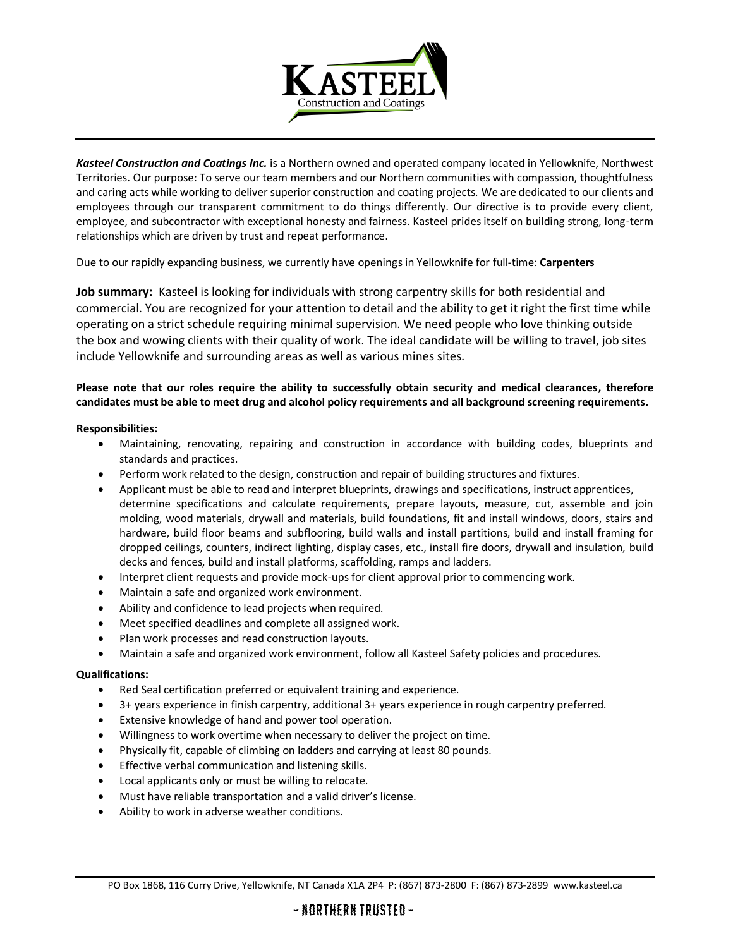

*Kasteel Construction and Coatings Inc.* is a Northern owned and operated company located in Yellowknife, Northwest Territories. Our purpose: To serve our team members and our Northern communities with compassion, thoughtfulness and caring acts while working to deliver superior construction and coating projects. We are dedicated to our clients and employees through our transparent commitment to do things differently. Our directive is to provide every client, employee, and subcontractor with exceptional honesty and fairness. Kasteel prides itself on building strong, long-term relationships which are driven by trust and repeat performance.

Due to our rapidly expanding business, we currently have openings in Yellowknife for full-time: **Carpenters**

**Job summary:** Kasteel is looking for individuals with strong carpentry skills for both residential and commercial. You are recognized for your attention to detail and the ability to get it right the first time while operating on a strict schedule requiring minimal supervision. We need people who love thinking outside the box and wowing clients with their quality of work. The ideal candidate will be willing to travel, job sites include Yellowknife and surrounding areas as well as various mines sites.

## **Please note that our roles require the ability to successfully obtain security and medical clearances, therefore candidates must be able to meet drug and alcohol policy requirements and all background screening requirements.**

## **Responsibilities:**

- Maintaining, renovating, repairing and construction in accordance with building codes, blueprints and standards and practices.
- Perform work related to the design, construction and repair of building structures and fixtures.
- Applicant must be able to read and interpret blueprints, drawings and specifications, instruct apprentices, determine specifications and calculate requirements, prepare layouts, measure, cut, assemble and join molding, wood materials, drywall and materials, build foundations, fit and install windows, doors, stairs and hardware, build floor beams and subflooring, build walls and install partitions, build and install framing for dropped ceilings, counters, indirect lighting, display cases, etc., install fire doors, drywall and insulation, build decks and fences, build and install platforms, scaffolding, ramps and ladders.
- Interpret client requests and provide mock-ups for client approval prior to commencing work.
- Maintain a safe and organized work environment.
- Ability and confidence to lead projects when required.
- Meet specified deadlines and complete all assigned work.
- Plan work processes and read construction layouts.
- Maintain a safe and organized work environment, follow all Kasteel Safety policies and procedures.

## **Qualifications:**

- Red Seal certification preferred or equivalent training and experience.
- 3+ years experience in finish carpentry, additional 3+ years experience in rough carpentry preferred.
- Extensive knowledge of hand and power tool operation.
- Willingness to work overtime when necessary to deliver the project on time.
- Physically fit, capable of climbing on ladders and carrying at least 80 pounds.
- Effective verbal communication and listening skills.
- Local applicants only or must be willing to relocate.
- Must have reliable transportation and a valid driver's license.
- Ability to work in adverse weather conditions.